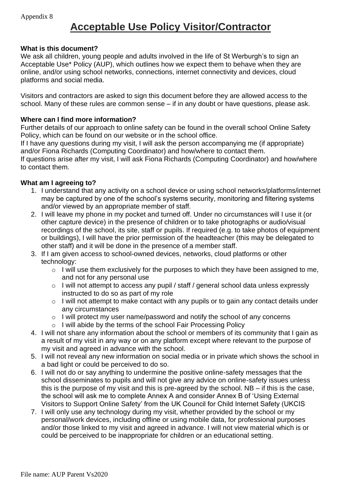## **Acceptable Use Policy Visitor/Contractor**

## **What is this document?**

We ask all children, young people and adults involved in the life of St Werburgh's to sign an Acceptable Use\* Policy (AUP), which outlines how we expect them to behave when they are online, and/or using school networks, connections, internet connectivity and devices, cloud platforms and social media.

Visitors and contractors are asked to sign this document before they are allowed access to the school. Many of these rules are common sense – if in any doubt or have questions, please ask.

## **Where can I find more information?**

Further details of our approach to online safety can be found in the overall school Online Safety Policy, which can be found on our website or in the school office.

If I have any questions during my visit, I will ask the person accompanying me (if appropriate) and/or Fiona Richards (Computing Coordinator) and how/where to contact them.

If questions arise after my visit, I will ask Fiona Richards (Computing Coordinator) and how/where to contact them.

## **What am I agreeing to?**

- 1. I understand that any activity on a school device or using school networks/platforms/internet may be captured by one of the school's systems security, monitoring and filtering systems and/or viewed by an appropriate member of staff.
- 2. I will leave my phone in my pocket and turned off. Under no circumstances will I use it (or other capture device) in the presence of children or to take photographs or audio/visual recordings of the school, its site, staff or pupils. If required (e.g. to take photos of equipment or buildings), I will have the prior permission of the headteacher (this may be delegated to other staff) and it will be done in the presence of a member staff.
- 3. If I am given access to school-owned devices, networks, cloud platforms or other technology:
	- o I will use them exclusively for the purposes to which they have been assigned to me, and not for any personal use
	- o I will not attempt to access any pupil / staff / general school data unless expressly instructed to do so as part of my role
	- o I will not attempt to make contact with any pupils or to gain any contact details under any circumstances
	- o I will protect my user name/password and notify the school of any concerns
	- o I will abide by the terms of the school Fair Processing Policy
- 4. I will not share any information about the school or members of its community that I gain as a result of my visit in any way or on any platform except where relevant to the purpose of my visit and agreed in advance with the school.
- 5. I will not reveal any new information on social media or in private which shows the school in a bad light or could be perceived to do so.
- 6. I will not do or say anything to undermine the positive online-safety messages that the school disseminates to pupils and will not give any advice on online-safety issues unless this is the purpose of my visit and this is pre-agreed by the school. NB – if this is the case, the school will ask me to complete Annex A and consider Annex B of 'Using External Visitors to Support Online Safety' from the UK Council for Child Internet Safety (UKCIS
- 7. I will only use any technology during my visit, whether provided by the school or my personal/work devices, including offline or using mobile data, for professional purposes and/or those linked to my visit and agreed in advance. I will not view material which is or could be perceived to be inappropriate for children or an educational setting.